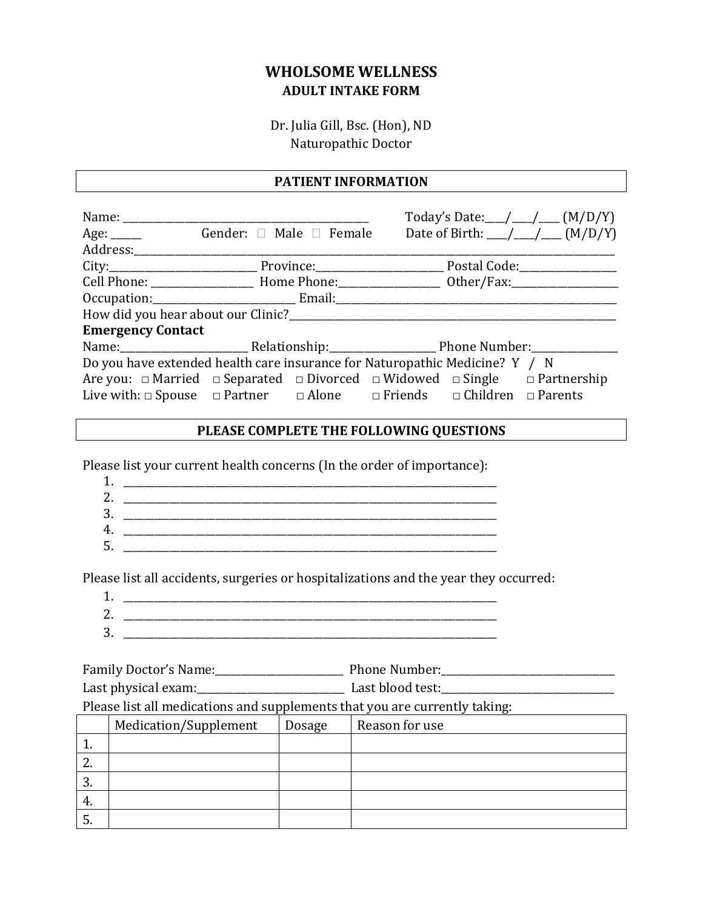# **WHOLSOME WELLNESS ADULT INTAKE FORM**

Dr. Julia Gill, Bsc. (Hon), ND Naturopathic Doctor

#### **PATIENT INFORMATION**

|                                                                             |                                           | Today's Date: ________________ (M/D/Y)                                                                   |  |  |
|-----------------------------------------------------------------------------|-------------------------------------------|----------------------------------------------------------------------------------------------------------|--|--|
|                                                                             | Age: <u>_____</u> Gender: □ Male □ Female | Date of Birth: $\_\_\_\_\_\_\_\_\_\_\_\_\_$ (M/D/Y)                                                      |  |  |
|                                                                             |                                           |                                                                                                          |  |  |
|                                                                             |                                           |                                                                                                          |  |  |
|                                                                             |                                           |                                                                                                          |  |  |
|                                                                             |                                           |                                                                                                          |  |  |
|                                                                             |                                           |                                                                                                          |  |  |
| <b>Emergency Contact</b>                                                    |                                           |                                                                                                          |  |  |
|                                                                             |                                           |                                                                                                          |  |  |
| Do you have extended health care insurance for Naturopathic Medicine? Y / N |                                           |                                                                                                          |  |  |
|                                                                             |                                           | Are you: $\Box$ Married $\Box$ Separated $\Box$ Divorced $\Box$ Widowed $\Box$ Single $\Box$ Partnership |  |  |
|                                                                             |                                           | Live with: $\Box$ Spouse $\Box$ Partner $\Box$ Alone $\Box$ Friends $\Box$ Children $\Box$ Parents       |  |  |

#### **PLEASE COMPLETE THE FOLLOWING QUESTIONS**

Please list your current health concerns (In the order of importance):

| ۔        |  |
|----------|--|
| ,        |  |
| 2<br>. . |  |
|          |  |
|          |  |

Please list all accidents, surgeries or hospitalizations and the year they occurred:

- 1. \_\_\_\_\_\_\_\_\_\_\_\_\_\_\_\_\_\_\_\_\_\_\_\_\_\_\_\_\_\_\_\_\_\_\_\_\_\_\_\_\_\_\_\_\_\_\_\_\_\_\_\_\_\_\_\_\_\_\_\_\_\_\_\_\_\_\_\_\_\_\_\_\_
- 2. \_\_\_\_\_\_\_\_\_\_\_\_\_\_\_\_\_\_\_\_\_\_\_\_\_\_\_\_\_\_\_\_\_\_\_\_\_\_\_\_\_\_\_\_\_\_\_\_\_\_\_\_\_\_\_\_\_\_\_\_\_\_\_\_\_\_\_\_\_\_\_\_\_ 3. \_\_\_\_\_\_\_\_\_\_\_\_\_\_\_\_\_\_\_\_\_\_\_\_\_\_\_\_\_\_\_\_\_\_\_\_\_\_\_\_\_\_\_\_\_\_\_\_\_\_\_\_\_\_\_\_\_\_\_\_\_\_\_\_\_\_\_\_\_\_\_\_\_

Family Doctor's Name:\_\_\_\_\_\_\_\_\_\_\_\_\_\_\_\_\_\_\_\_\_\_\_\_\_ Phone Number:\_\_\_\_\_\_\_\_\_\_\_\_\_\_\_\_\_\_\_\_\_\_\_\_\_\_\_\_\_\_\_\_\_\_ Last physical exam:\_\_\_\_\_\_\_\_\_\_\_\_\_\_\_\_\_\_\_\_\_\_\_\_\_\_\_\_\_ Last blood test:\_\_\_\_\_\_\_\_\_\_\_\_\_\_\_\_\_\_\_\_\_\_\_\_\_\_\_\_\_\_\_\_\_\_

Please list all medications and supplements that you are currently taking:

|          | Medication/Supplement | Dosage | Reason for use |
|----------|-----------------------|--------|----------------|
| <b>.</b> |                       |        |                |
| <u>.</u> |                       |        |                |
| C.       |                       |        |                |
| 4.       |                       |        |                |
| ີ        |                       |        |                |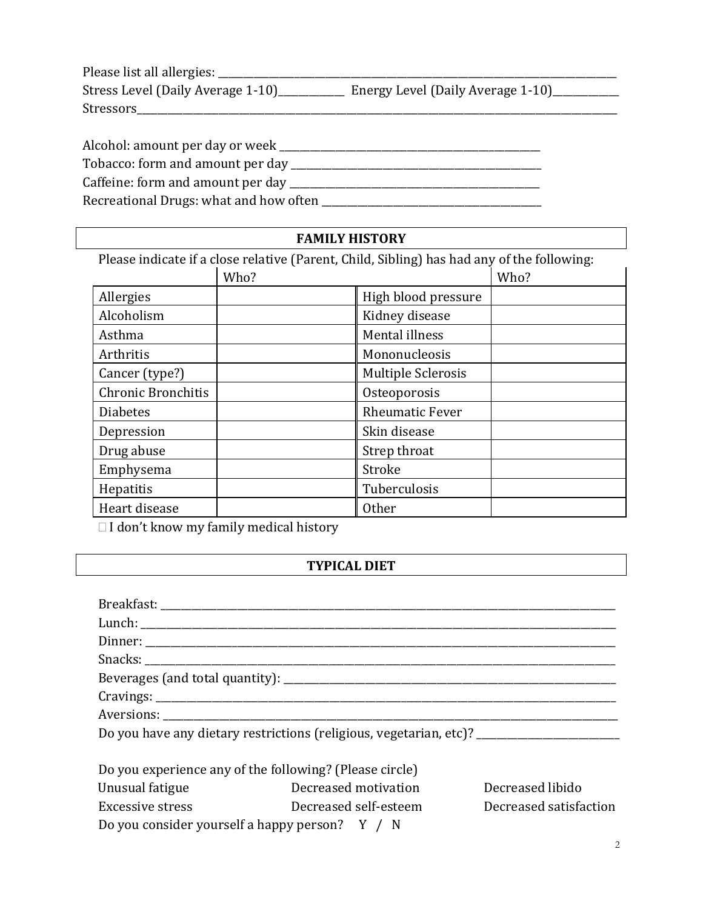| Please list all allergies:        |                                   |
|-----------------------------------|-----------------------------------|
| Stress Level (Daily Average 1-10) | Energy Level (Daily Average 1-10) |
| <b>Stressors</b>                  |                                   |

| Alcohol: amount per day or week        |  |
|----------------------------------------|--|
| Tobacco: form and amount per day       |  |
| Caffeine: form and amount per day      |  |
| Recreational Drugs: what and how often |  |

### **FAMILY HISTORY**

| Please indicate if a close relative (Parent, Child, Sibling) has had any of the following: |      |                           |      |
|--------------------------------------------------------------------------------------------|------|---------------------------|------|
|                                                                                            | Who? |                           | Who? |
| Allergies                                                                                  |      | High blood pressure       |      |
| Alcoholism                                                                                 |      | Kidney disease            |      |
| Asthma                                                                                     |      | Mental illness            |      |
| Arthritis                                                                                  |      | Mononucleosis             |      |
| Cancer (type?)                                                                             |      | <b>Multiple Sclerosis</b> |      |
| <b>Chronic Bronchitis</b>                                                                  |      | Osteoporosis              |      |
| <b>Diabetes</b>                                                                            |      | <b>Rheumatic Fever</b>    |      |
| Depression                                                                                 |      | Skin disease              |      |
| Drug abuse                                                                                 |      | Strep throat              |      |
| Emphysema                                                                                  |      | Stroke                    |      |
| Hepatitis                                                                                  |      | Tuberculosis              |      |
| Heart disease                                                                              |      | <b>Other</b>              |      |

 $\Box$  I don't know my family medical history

## **TYPICAL DIET**

|                  | Do you have any dietary restrictions (religious, vegetarian, etc)? _________________________________ |                        |
|------------------|------------------------------------------------------------------------------------------------------|------------------------|
|                  |                                                                                                      |                        |
|                  | Do you experience any of the following? (Please circle)                                              |                        |
| Unusual fatigue  | Decreased motivation                                                                                 | Decreased libido       |
| Excessive stress | Decreased self-esteem                                                                                | Decreased satisfaction |

Do you consider yourself a happy person? Y / N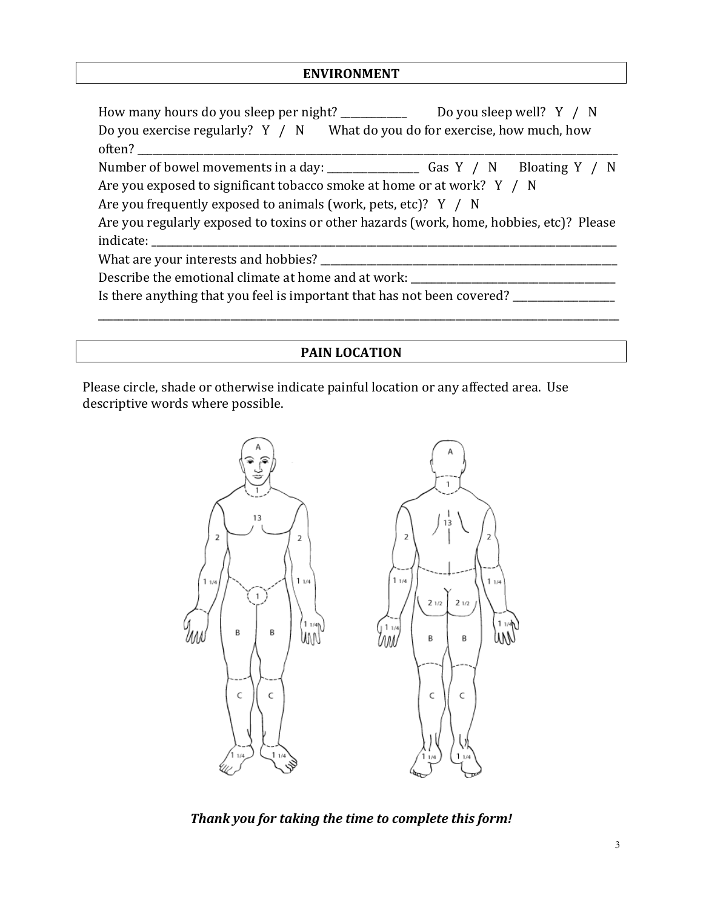### **ENVIRONMENT**

| How many hours do you sleep per night? __________                                       | Do you sleep well? $Y / N$ |  |
|-----------------------------------------------------------------------------------------|----------------------------|--|
| Do you exercise regularly? Y / N What do you do for exercise, how much, how             |                            |  |
| often?                                                                                  |                            |  |
|                                                                                         |                            |  |
| Are you exposed to significant tobacco smoke at home or at work? Y / N                  |                            |  |
| Are you frequently exposed to animals (work, pets, etc)? Y / N                          |                            |  |
| Are you regularly exposed to toxins or other hazards (work, home, hobbies, etc)? Please |                            |  |
|                                                                                         |                            |  |
| What are your interests and hobbies? ________                                           |                            |  |
| Describe the emotional climate at home and at work: ____________                        |                            |  |
| Is there anything that you feel is important that has not been covered?                 |                            |  |

## **PAIN LOCATION**

Please circle, shade or otherwise indicate painful location or any affected area. Use descriptive words where possible.



*Thank you for taking the time to complete this form!*